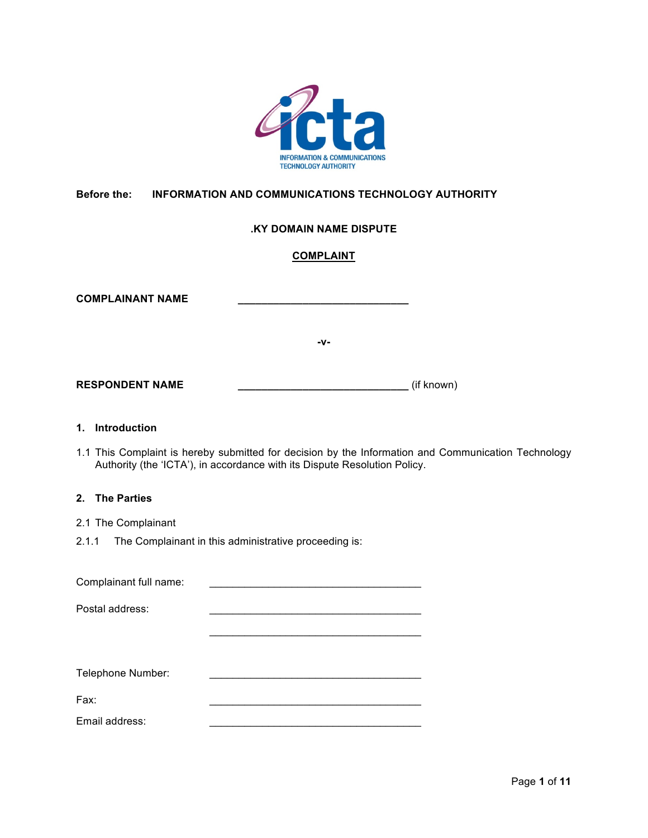

# **Before the: INFORMATION AND COMMUNICATIONS TECHNOLOGY AUTHORITY**

## **.KY DOMAIN NAME DISPUTE**

## **COMPLAINT**

| <b>COMPLAINANT NAME</b> |     |            |
|-------------------------|-----|------------|
|                         | -v- |            |
| <b>RESPONDENT NAME</b>  |     | (if known) |

### **1. Introduction**

1.1 This Complaint is hereby submitted for decision by the Information and Communication Technology Authority (the 'ICTA'), in accordance with its Dispute Resolution Policy.

## **2. The Parties**

- 2.1 The Complainant
- 2.1.1 The Complainant in this administrative proceeding is:

Complainant full name: Postal address:  $\mathcal{L}_\text{max}$  , which is a set of the set of the set of the set of the set of the set of the set of the set of the set of the set of the set of the set of the set of the set of the set of the set of the set of the set of Telephone Number: Fax: \_\_\_\_\_\_\_\_\_\_\_\_\_\_\_\_\_\_\_\_\_\_\_\_\_\_\_\_\_\_\_\_\_\_\_\_ Email address: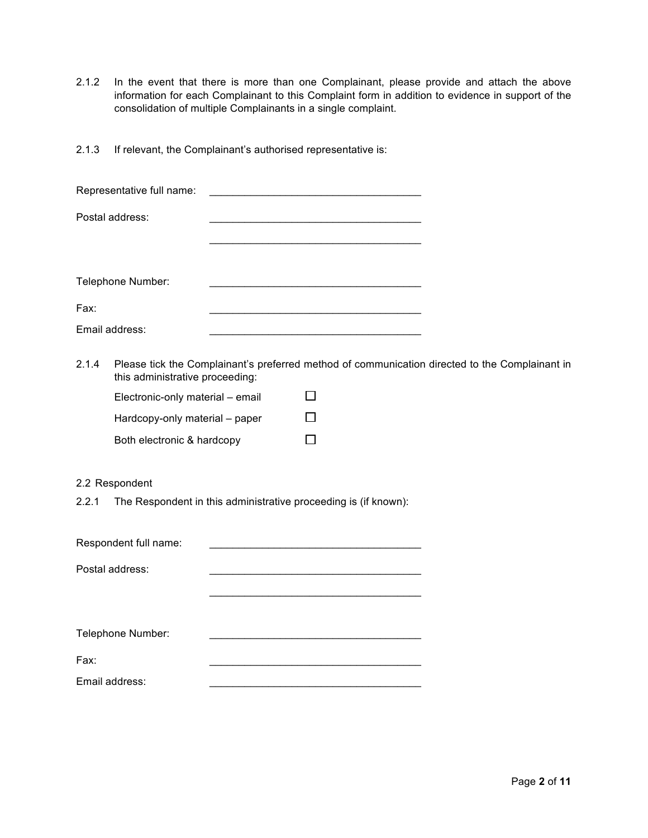- 2.1.2 In the event that there is more than one Complainant, please provide and attach the above information for each Complainant to this Complaint form in addition to evidence in support of the consolidation of multiple Complainants in a single complaint.
- 2.1.3 If relevant, the Complainant's authorised representative is:

|       | Representative full name:        |                                                                                                                      |                                                                                                |
|-------|----------------------------------|----------------------------------------------------------------------------------------------------------------------|------------------------------------------------------------------------------------------------|
|       | Postal address:                  |                                                                                                                      |                                                                                                |
|       |                                  | <u> 1989 - Johann Barbara, martxa alemaniar a</u>                                                                    |                                                                                                |
|       | Telephone Number:                | <u> 1989 - Johann Stein, mars an deutscher Stein und der Stein und der Stein und der Stein und der Stein und der</u> |                                                                                                |
| Fax:  |                                  | <u> 1989 - Johann Barbara, martxa alemaniar a</u>                                                                    |                                                                                                |
|       | Email address:                   | <u> 1989 - Johann Barbara, martxa alemaniar arg</u>                                                                  |                                                                                                |
| 2.1.4 | this administrative proceeding:  |                                                                                                                      | Please tick the Complainant's preferred method of communication directed to the Complainant in |
|       | Electronic-only material - email | ΙI                                                                                                                   |                                                                                                |
|       | Hardcopy-only material - paper   | $\mathsf{L}$                                                                                                         |                                                                                                |
|       | Both electronic & hardcopy       | $\mathsf{L}$                                                                                                         |                                                                                                |
|       | 2.2 Respondent                   |                                                                                                                      |                                                                                                |
| 2.2.1 |                                  | The Respondent in this administrative proceeding is (if known):                                                      |                                                                                                |
|       | Respondent full name:            |                                                                                                                      |                                                                                                |
|       | Postal address:                  |                                                                                                                      |                                                                                                |
|       |                                  |                                                                                                                      |                                                                                                |
|       | Telephone Number:                |                                                                                                                      |                                                                                                |
| Fax:  |                                  |                                                                                                                      |                                                                                                |
|       | Email address:                   |                                                                                                                      |                                                                                                |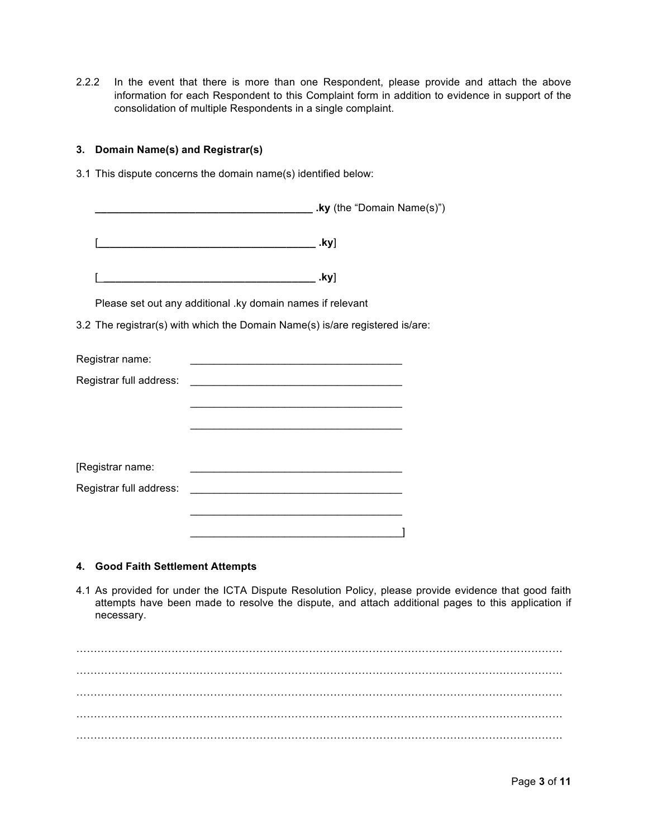2.2.2 In the event that there is more than one Respondent, please provide and attach the above information for each Respondent to this Complaint form in addition to evidence in support of the consolidation of multiple Respondents in a single complaint.

## **3. Domain Name(s) and Registrar(s)**

3.1 This dispute concerns the domain name(s) identified below:

|                         | .ky (the "Domain Name(s)")                                                                                                                                                                                                           |  |
|-------------------------|--------------------------------------------------------------------------------------------------------------------------------------------------------------------------------------------------------------------------------------|--|
|                         |                                                                                                                                                                                                                                      |  |
|                         | .ky]<br><u> 2000 - Jan James James Jan James James James James James James James James James James James James James James</u>                                                                                                       |  |
|                         | Please set out any additional .ky domain names if relevant                                                                                                                                                                           |  |
|                         | 3.2 The registrar(s) with which the Domain Name(s) is/are registered is/are:                                                                                                                                                         |  |
| Registrar name:         | <u> 1989 - Johann John Stein, market fan it fjort fan it fjort fan it fjort fan it fjort fan it fjort fan it fjort fan it fjort fan it fjort fan it fjort fan it fjort fan it fjort fan it fjort fan it fjort fan it fjort fan i</u> |  |
| Registrar full address: | <u> 1990 - Johann John Barn, mars eta inperiodoren eta inperiodoren eta inperiodoren eta inperiodoren eta inperio</u>                                                                                                                |  |
|                         |                                                                                                                                                                                                                                      |  |
|                         | <u> 1989 - Johann John Stoff, deutscher Stoffen und der Stoffen und der Stoffen und der Stoffen und der Stoffen un</u>                                                                                                               |  |
|                         |                                                                                                                                                                                                                                      |  |
| [Registrar name:        | <u> 1980 - Jan James James James James James James James James James James James James James James James James Ja</u>                                                                                                                |  |
| Registrar full address: | <u> 1980 - Johann John Stein, mars eta berezko hamarkada eta hamarkada eta hamarkada eta hamarkada eta hamarkada</u>                                                                                                                 |  |
|                         |                                                                                                                                                                                                                                      |  |
|                         |                                                                                                                                                                                                                                      |  |

## **4. Good Faith Settlement Attempts**

4.1 As provided for under the ICTA Dispute Resolution Policy, please provide evidence that good faith attempts have been made to resolve the dispute, and attach additional pages to this application if necessary.

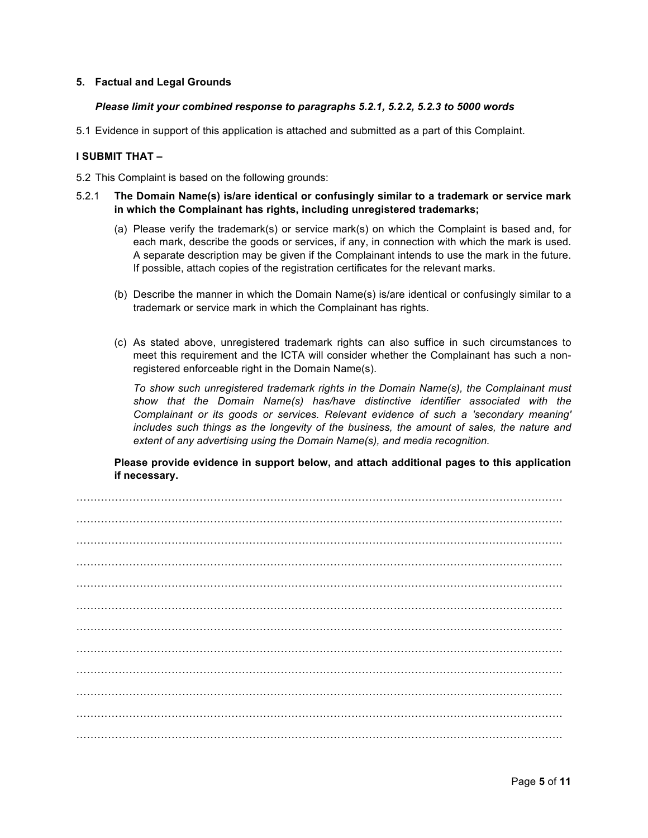## **5. Factual and Legal Grounds**

#### *Please limit your combined response to paragraphs 5.2.1, 5.2.2, 5.2.3 to 5000 words*

5.1 Evidence in support of this application is attached and submitted as a part of this Complaint.

#### **I SUBMIT THAT –**

- 5.2 This Complaint is based on the following grounds:
- 5.2.1 **The Domain Name(s) is/are identical or confusingly similar to a trademark or service mark in which the Complainant has rights, including unregistered trademarks;**
	- (a) Please verify the trademark(s) or service mark(s) on which the Complaint is based and, for each mark, describe the goods or services, if any, in connection with which the mark is used. A separate description may be given if the Complainant intends to use the mark in the future. If possible, attach copies of the registration certificates for the relevant marks.
	- (b) Describe the manner in which the Domain Name(s) is/are identical or confusingly similar to a trademark or service mark in which the Complainant has rights.
	- (c) As stated above, unregistered trademark rights can also suffice in such circumstances to meet this requirement and the ICTA will consider whether the Complainant has such a nonregistered enforceable right in the Domain Name(s).

*To show such unregistered trademark rights in the Domain Name(s), the Complainant must show that the Domain Name(s) has/have distinctive identifier associated with the Complainant or its goods or services. Relevant evidence of such a 'secondary meaning' includes such things as the longevity of the business, the amount of sales, the nature and extent of any advertising using the Domain Name(s), and media recognition.*

**Please provide evidence in support below, and attach additional pages to this application if necessary.**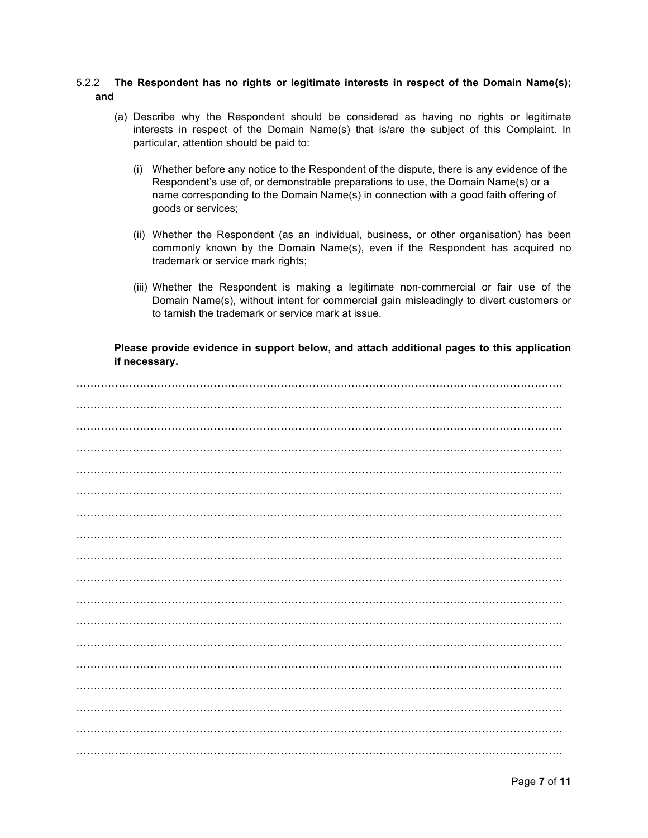## 5.2.2 The Respondent has no rights or legitimate interests in respect of the Domain Name(s); and

- (a) Describe why the Respondent should be considered as having no rights or legitimate interests in respect of the Domain Name(s) that is/are the subject of this Complaint. In particular, attention should be paid to:
	- (i) Whether before any notice to the Respondent of the dispute, there is any evidence of the Respondent's use of, or demonstrable preparations to use, the Domain Name(s) or a name corresponding to the Domain Name(s) in connection with a good faith offering of goods or services;
	- (ii) Whether the Respondent (as an individual, business, or other organisation) has been commonly known by the Domain Name(s), even if the Respondent has acquired no trademark or service mark rights;
	- (iii) Whether the Respondent is making a legitimate non-commercial or fair use of the Domain Name(s), without intent for commercial gain misleadingly to divert customers or to tarnish the trademark or service mark at issue.

Please provide evidence in support below, and attach additional pages to this application if necessary.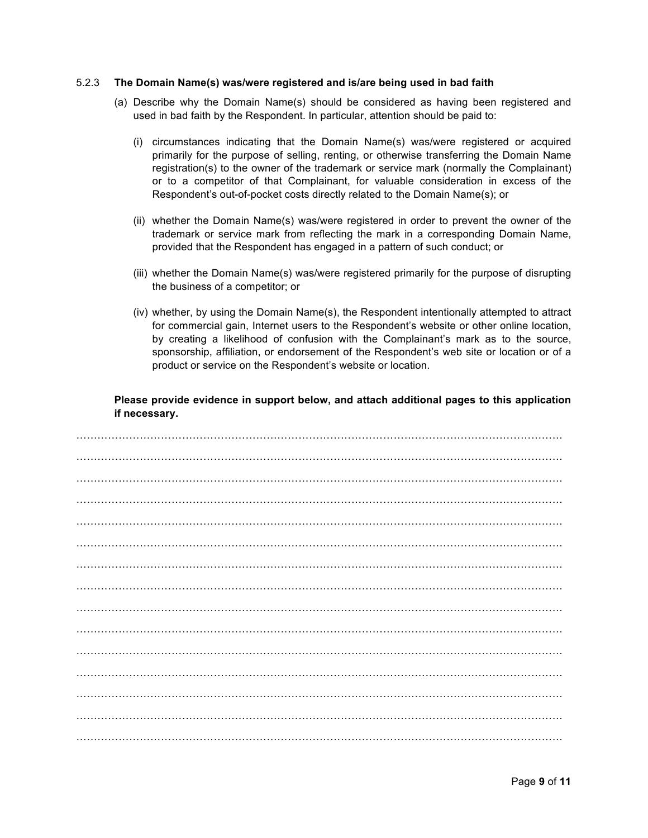#### 5.2.3 **The Domain Name(s) was/were registered and is/are being used in bad faith**

- (a) Describe why the Domain Name(s) should be considered as having been registered and used in bad faith by the Respondent. In particular, attention should be paid to:
	- (i) circumstances indicating that the Domain Name(s) was/were registered or acquired primarily for the purpose of selling, renting, or otherwise transferring the Domain Name registration(s) to the owner of the trademark or service mark (normally the Complainant) or to a competitor of that Complainant, for valuable consideration in excess of the Respondent's out-of-pocket costs directly related to the Domain Name(s); or
	- (ii) whether the Domain Name(s) was/were registered in order to prevent the owner of the trademark or service mark from reflecting the mark in a corresponding Domain Name, provided that the Respondent has engaged in a pattern of such conduct; or
	- (iii) whether the Domain Name(s) was/were registered primarily for the purpose of disrupting the business of a competitor; or
	- (iv) whether, by using the Domain Name(s), the Respondent intentionally attempted to attract for commercial gain, Internet users to the Respondent's website or other online location, by creating a likelihood of confusion with the Complainant's mark as to the source, sponsorship, affiliation, or endorsement of the Respondent's web site or location or of a product or service on the Respondent's website or location.

**Please provide evidence in support below, and attach additional pages to this application if necessary.**